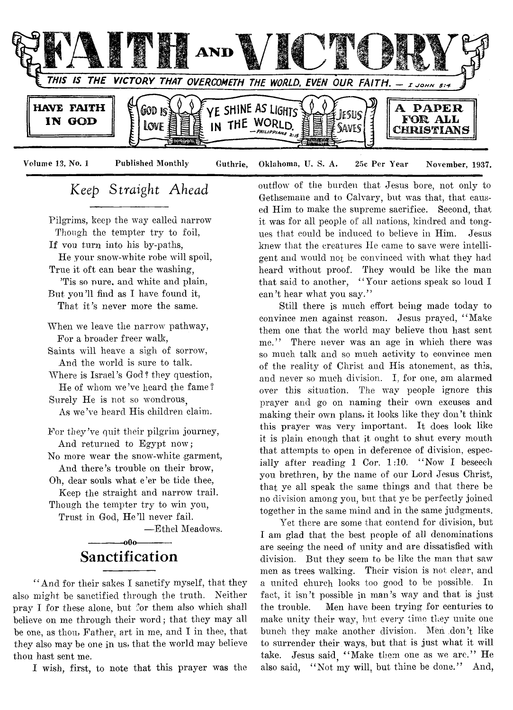

**Volume 13, No. 1 Published Monthly Guthrie, Oklahoma, U. S. A. 25c Per Year November, 1937.**

## *Keep Straight Ahead*

Pilgrims, keep the way called narrow Though the tempter try to foil, If vou turn into his by-paths, He your snow-white robe will spoil, True it oft can bear the washing, 'Tis so pure, and white and plain, But you'll find as I have found it, That it's never more the same.

When we leave the narrow pathway, For a broader freer walk,

Saints will heave a sigh of sorrow, And the world is sure to talk.

Where is Israel's God? they question, He of whom we've heard the fame?

Surely He is not so wondrous As we've heard His children claim.

For they've quit their pilgrim journey, And returned to Egypt now;

No more wear the snow-white garment, And there's trouble on their brow,

Oh, dear souls what e'er be tide thee,

Keep the straight and narrow trail. Though the tempter try to win you,

Trust in God, He'll never fail.

— Ethel Meadows.

## $-000-$ **Sanctification**

" And for their sakes I sanctify myself, that they also might be sanctified through the truth. Neither pray I for these alone, but for them also which shall believe on me through their word; that they may all be one, as thou, Father, art in me, and I in thee, that they also may be one in us, that the world may believe thou hast sent me.

I wish, first, to note that this prayer was the

outflow" of the burden that Jesus bore, not only to Gethsemane and to Calvary, but was that, that caused Him to make the supreme sacrifice. Second, that it was for all people of all nations, kindred and tongues that could be induced to believe in Him. Jesus knew that the creatures He came to save were intelligent and would not be convinced with what they had heard without proof. They would be like the man that said to another, "Your actions speak so loud I can't hear what you say."

Still there is much effort being made today to convince men against reason. Jesus prayed, " Make them one that the world may believe thou hast sent me." There never was an age in which there was so much talk and so much activity to convince men of the reality of Christ and His atonement, as this, and never so much division. I, for one, am alarmed over this situation. The way people ignore this prayer and go on naming their own excuses and making their own plans, it looks like they don't think this prayer was very important. It does look like it is plain enough that it ought to shut every mouth that attempts to open in deference of division, especially after reading 1 Cor. 1:10. "Now I beseech you brethren, by the name of our Lord Jesus Christ, that ye all speak the same things and that there be no division among you, but that ye be perfectly joined together in the same mind and in the same judgments.

Yet there are some that contend for division, but I am glad that the best people of ad denominations are seeing the need of unity and are dissatisfied with division. But they seem to be like the man that saw men as trees walking. Their vision is not clear, and a united church looks too good to be possible. In fact, it isn't possible in man's way and that is just the trouble. Men have been trying for centuries to make unity their way, but every time they unite one bunch they make another division. Men don't like to surrender their ways, but that is just what it will take. Jesus said "Make them one as we are." He also said. "Not my will, but thine be done." And,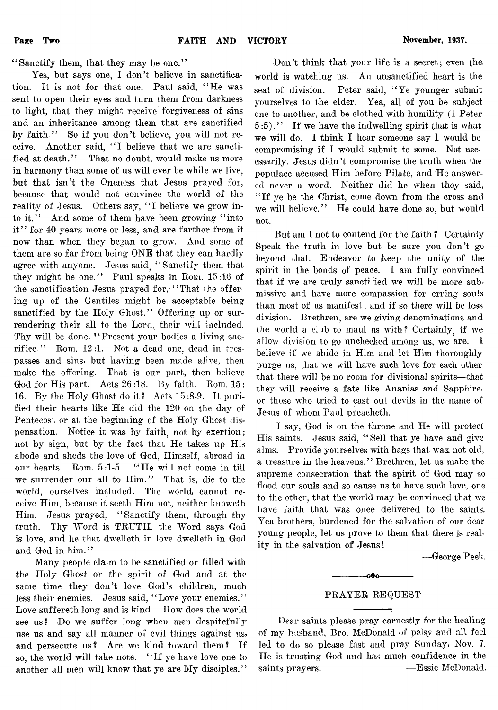4 *'* Sanctify them, that they may he one.' '

Yes, but says one, I don't believe in sanctification. It is not for that one. Paul said, " He was sent to open their eyes and turn them from darkness to light, that they might receive forgiveness of sins and an inheritance among them that are sanctified by faith." So if you don't believe, you will not receive. Another said, "I believe that we are sanctified at death." That no doubt, would make us more in harmony than some of us will ever be while we live, but that isn't the Oneness that Jesus prayed for, because that would not convince the world of the reality of Jesus. Others say, "I believe we grow into it." And some of them have been growing "into it" for 40 years more or less, and are farther from it now than when they began to grow. And some of them are so far from being ONE that they can hardly agree with anyone. Jesus said. "Sanctify them that they might be one." Paul speaks in Rom. 15:16 of the sanctification Jesus prayed for, "That the offering up of the Gentiles might be acceptable being sanctified by the Holy Ghost." Offering up or surrendering their all to the Lord, their will included. Thy will be done. "Present your bodies a living sacrifice," Rom. 12:1. Not a dead one, dead in trespasses and sins, but having been made alive, then make the offering. That is our part, then believe God for His part. Acts 26 :18. By faith. Rom. 15 : 16. Bv the Holy Ghost do it? Acts 15:8-9. It purified their hearts like He did the 120 on the day of Pentecost or at the beginning of the Holy Ghost dispensation. Notice it was by faith not by exertion; not by sign, but by the fact that He takes up His abode and sheds the love of God, Himself, abroad in our hearts. Rom. 5:1-5. "He will not come in till we surrender our all to Him." That is, die to the world, ourselves included. The world cannot receive Him, because it seeth Him not, neither knoweth Him. Jesus prayed, " Sanctify them, through thy truth. Thy Word is TRUTH, the Word says God is love, and he that dwelleth in love dwelleth in God and God in him."

Many people claim to be sanctified or filled with the Holy Ghost or the spirit of God and at the same time they don't love God's children, much less their enemies. Jesus said, " Love your enemies." Love suffereth long and is kind. How does the world see us? Do we suffer long when men despitefully use us and say all manner of evil things against us, and persecute us? Are we kind toward them? If so, the world will take note. " If ye have love one to another all men will know that ye are My disciples."

Don't think that your life is a secret; even the world is watching us. An unsanctified heart is the seat of division. Peter said, "Ye younger submit yourselves to the elder. Yea, all of you be subject one to another, and be clothed with humility (1 Peter 5 :5)." If we have the indwelling spirit that is what we will do. I think I hear someone say I would be compromising if I would submit to some. Not necessarily. Jesus didn't compromise the truth when the populace accused Him before Pilate, and He answered never a word. Neither did he when they said, " If ye be the Christ, come down from the cross and we will believe." He could have done so, but would not.

But am I not to contend for the faith ? Certainly Speak the truth in love but be sure you don't go beyond that. Endeavor to keep the unity of the spirit in the bonds of peace. I am fully convinced that if we are truly sanctified we will be more submissive and have more compassion for erring souls than most of us manifest; and if so there will be less division. Brethren, are we giving denominations and the world a club to maul us with? Certainly if we allow division to go unchecked among us, we are. *I* believe if we abide in Him and let Him thoroughly purge us, that we will have such love for each other that there will be no room for divisional spirits—that they will receive a fate like Ananias and Sapphire, or those who tried to cast out devils in the name of Jesus of whom Paul preacheth.

I say, God is on the throne and He will protect His saints. Jesus said, " Sell that ye have and give alms. Provide yourselves with bags that wax not old, a treasure in the heavens." Brethren, let us make the supreme consecration that the spirit of God may so flood our souls and so cause us to have such love, one to the other, that the world may be convinced that we have faith that was once delivered to the saints. Yea brothers, burdened for the salvation of our dear young people, let us prove to them that there is reality in the salvation of Jesus!

—George Peek.

## PRAYER REQUEST

-000-

Dear saints please pray earnestly for the healing of my husband, Bro. McDonald of palsy and all feel led to do so please fast and pray Sunday, Nov. 7. He is trusting God and has much confidence in the saints prayers. -—Essie McDonald.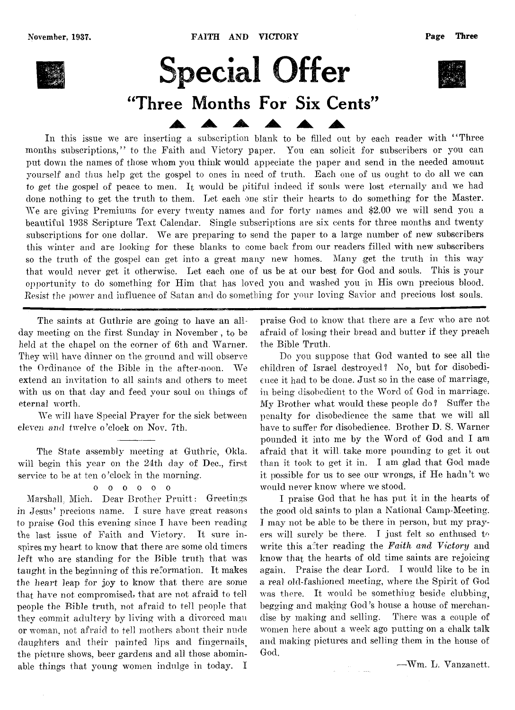

# **Special Offer** "Three Months For Six Cents"

In this issue we are inserting a subscription blank to be filled out by each reader with "Three months subscriptions." to the Faith and Victory paper. You can solicit for subscribers or you can put down the names of those whom you think would appeciate the paper and send in the needed amount yourself and thus help get the gospel to ones in need of truth. Each one of us ought to do all we can to get the gospel of peace to men. I<sub>t</sub> would be pitiful indeed if souls were lost eternally and we had done nothing to get the truth to them. Let each one stir their hearts to do something for the Master. We are giving Premiums for every twenty names and for forty names and \$2.00 we will send you a beautiful 1938 Scripture Text Calendar. Single subscriptions are six cents for three months and twenty subscriptions for one dollar. We are preparing to send the paper to a large number of new subscribers this winter and are looking for these blanks to come back from our readers filled with new subscribers so the truth of the gospel can get into a great many new homes. Many get the truth in this way that would never get it otherwise. Let each one of us be at our best for God and souls. This is your opportunity to do something for Him that has loved you and washed you in His own precious blood. *Resist the power* and influence of Satan and do something for your loving Savior and precious lost souls.

The saints at Guthrie are going to have an allday meeting on the first Sunday in November , to be held at the chapel on the corner of 6th and Warner. They will have dinner on the ground and will observe the Ordinance of the Bible in the after-noon. We extend an invitation to all saints and others to meet with us on that day and feed your soul on things of eternal worth.

We will have Special Prayer for the sick between eleven and twelve o 'clock on Nov. 7th.

The State assembly meeting at Guthrie, Okla. will begin this year on the 24th day of Dec., first service to be at ten o'clock in the morning.

## oooooo

Marshall, Mich. Dear Brother Pruitt: Greetings in Jesus' precious name. I sure have great reasons to praise God this evening since I have been reading the last issue of Faith and Victory. It sure inspires my heart to know that there are some old timers left who are standing for the Bible truth that was taught in the beginning of this reformation. It makes the heart leap for joy to know that there are some that have not compromised, that are not afraid to tell people the Bible truth, not afraid to tell people that they commit adultery by living with a divorced man or woman, not afraid to tell mothers about their nude daughters and their painted lips and fingernails, the picture shows, beer gardens and all those abominable things that young women indulge in today. I praise God to know that there are a few who are not afraid of losing their bread and butter if they preach the Bible Truth.

Do you suppose that God wanted to see all the children of Israel destroyed? No, but for disobedience it had to be done. Just so in the case of marriage, in being disobedient to the Word of God in marriage. My Brother what would these people do ? Suffer the penalty for disobedience the same that we will all have to suffer for disobedience. Brother D. S. Warner pounded it into me by the Word of God and I am afraid that it will, take more pounding to get it out than it took to get it in. I am glad that God made it possible for us to see our wrongs, if He hadn't we would never know where we stood.

I praise God that he has put it in the hearts of the good old saints to plan a National Camp-Meeting. I may not be able to be there in person, but my prayers will surely be there. I just felt so enthused to write this after reading the *Faith and Victory* and know that the hearts of old time saints are rejoicing again. Praise the dear Lord. I would like to be in a real old-fashioned meeting, where the Spirit of God was there. It would be something beside clubbing, begging and making God's house a house of merchandise by making and selling. There was a couple of women here about a week ago putting on a chalk talk and making pictures and selling them in the house of God,

■—Wm. L. Vanzanctt.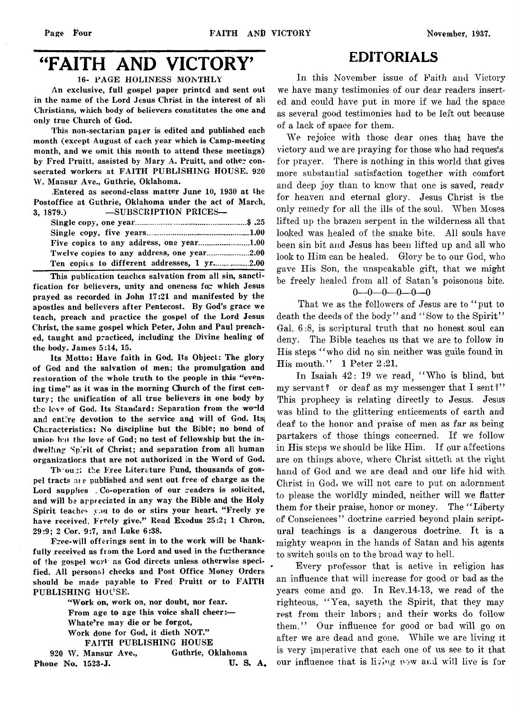## "FAITH AND VICTORY'

## **16- PAGE HOLINESS MONTHLY**

**An exclusive, full gospel paper printed and sent out in the name of the Lord Jesus Christ in the interest of all Christians, which body of believers constitutes the one and only true Church of God.**

**This non-sectarian paper is edited and published each month (except August of each year which is Camp-meeting month, and we omit this month to attend these meetings)** by Fred Pruitt, assisted by Mary A. Pruitt, and other con**secrated workers at FAITH PUBLISHING HOUSE. 920 W. Mansur Ave., Guthrie, Oklahoma.**

**Entered as second-class matter June 10, 1930 at the Postoffice at Guthrie, Oklahoma under the act of March, 3, 1879.) — SUBSCRIPTION PRICES—**

**This publication teaches salvation from all sin, sanctification for believers, unity and oneness for which Jesus prayed as recorded in John 17:21 and manifested by the apostles and believers after Pentecost. By God's grace we teach, preach and practice the gospel of the Lord Jesus Christ, the same gospel which Peter, John and Paul preached, taught and practiced, including the Divine healing of the body. James 5:14, 15.**

**Its Motto: Have faith in God. Its Object: The glory of God and the salvation of men; the promulgation and restoration of the whole truth to the people in this "evening time" as it was in the morning Church of the first century; the unification of all true believers in one body by the love of God. Its Standard: Separation from the world and entire devotion to the service and will of God. Its; Characteristics: No discipline but the Bible; no bond of** union but the love of God; no test of fellowship but the in**dwelling Spirit of Christ; and separation from all human organizations that are not authorized in the Word of God.**

**Th ou;xi the Free Literature Fund, thousands of gospel tracts are published and sent out free of charge as the** Lord supplies . Co-operation of our readers is solicited, **and will be appreciated in any way the Bible and the Holy Spirit teacher you to do or stirs your heart. "Freely ye have received, Freely give." Read Exodus 25:2; 1 Chron. 29:9; 2 Cor. 9:7, and Luke 6:38.**

**Free-will offerings sent in to the work will be thankfully received as from the Lord and used in the furtherance of the gospel** wcrl **as God directs unless otherwise specified. All personal checks and Post Office Money Orders should be made payable to Fred Pruitt or to FAITH PUBLISHING HOUSE.**

> **"Work on, work on, nor doubt, nor fear. From age to age this voice shall cheer:— Whate're may die or be forgot, Work done for God, it dieth NOT." FAITH PUBLISHING HOUSE**

**920 W . Mansur Ave., Guthrie, Oklahoma Phone No. 1523-J. U. S. A.** 

## **EDITORIALS**

In this November issue of Faith and Victory we have many testimonies of our dear readers inserted and could have put in more if we had the space as several good testimonies had to be left out because of a lack of space for them.

We rejoice with those dear ones that have the victory and we are praying for those who had requests for prayer. There is nothing in this world that gives more substantial satisfaction together with comfort and deep joy than to know that one is saved, *ready* for heaven and eternal glory. Jesus Christ is the only remedy for all the ills of the soul. When Moses lifted up the brazen serpent in the wilderness all that looked was healed of the snake bite. All souls have been sin bit and Jesus has been lifted up and all who look to Him can be healed. Glory be to our God, who gave Ilis Son, the unspeakable gift, that we might be freely healed from all of Satan's poisonous bite.

 $0 - 0 - 0 - 0 - 0 - 0$ 

That we as the followers of Jesus are to " put to death the deeds of the body" and "Sow to the Spirit" Gal. 6 :8, is scriptural truth that no honest soul can deny. The Bible teaches us that we are to follow in His steps " who did no sin neither was guile found in His mouth." 1 Peter 2:21.

In Isaiah  $42: 19$  we read. "Who is blind, but my servant? or deaf as my messenger that I sent?" This prophecy is relating directly to Jesus. Jesus was blind to the glittering enticements of earth and deaf to the honor and praise of men as far as being partakers of those things concerned. If we follow in His steps we should be like Him. If our affections are on things above, where Christ sitteth at the right hand of God and we are dead and our life hid with Christ in God, we will not care to put on adornment to please the worldly minded, neither will we flatter them for their praise, honor or money. The " Liberty of Consciences" doctrine carried beyond plain scriptural teachings is a dangerous doctrine. It is a mighty weapon in the hands of Satan and his agents to switch souls on to the broad way to hell.

Every professor that is active in religion has an influence that will increase for good or bad as the years come and go. In Rev.14-13, we read of the righteous, " Yea, sayeth the Spirit, that they may rest from their labors; and their works do follow them." Our influence for good or bad will go on after we are dead and gone. While we are living it is very imperative that each one of us see to it that our influence that is living now and will live is for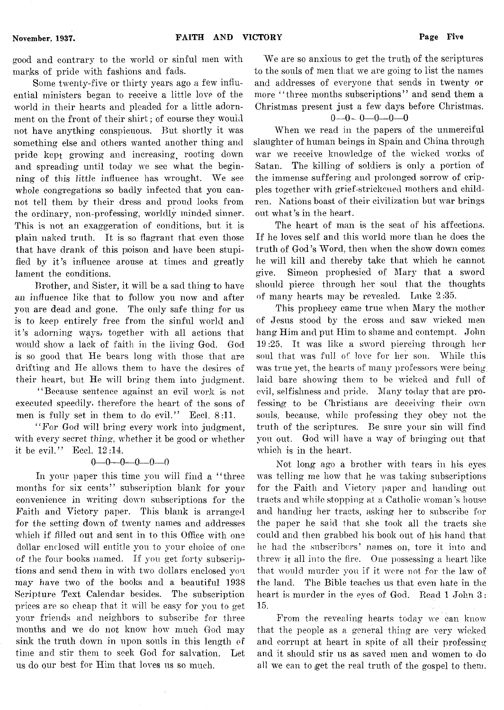good and contrary to the world or sinful men with marks of pride with fashions and fads.

Some twenty-five or thirty years ago a few influential ministers began to receive a little love of the world in their hearts and pleaded for a little adornment on the front of their shirt; of course they would not have anything conspicuous. But shortly it was something else and others wanted another thing and pride kept growing and increasing^ rooting down and spreading until today we see what the beginning of this little influence has wrought. We see whole congregations so badly infected that you cannot tell them by their dress and proud looks from the ordinary, non-professing, worldly minded sinner. This is not an exaggeration of conditions, but it is plain naked truth. It is so flagrant that even those that have drank of this poison and have been stupified by it's influence arouse at times and greatly lament the conditions.

Brother, and Sister, it will be a sad thing to have an influence like that to follow you now and after you are dead and gone. The only safe thing for us is to keep entirely free from the sinful world and it's adorning ways, together with all actions that would show a lack of faith in the living God. God is so good that He bears long with those that are drifting and He allows them to have the desires of their heart, but He will bring them into judgment.

" Because sentence against an evil work is not executed speedily, therefore the heart of the sons of men is fully set in them to do evil." Eccl. 8:11.

"For God will bring every work into judgment, with every secret *thing,* whether it be good or whether it be evil." Eccl. 12:14.

## $0 - 0 - 0 - 0 - 0 - 0$

In your paper this time you will find a "three months for six cents" subscription blank for your convenience in writing down subscriptions for the Faith and Victory paper. This blank is arranged for the setting down of twenty names and addresses which if filled out and sent in to this Office with one dollar enclosed will entitle you to your choice of one of the four books named. If you get forty subscriptions and send them in with two dollars enclosed you may have two of the books and a beautiful 1938 Scripture Text Calendar besides. The subscription prices are so cheap that it will be easy for you to get your friends and neighbors to subscribe for three months and we do not know how much God may sink the truth down in upon souls in this length of time and stir them to seek God for salvation. Let us do our best for Him that loves us so much.

We are so anxious to get the truth of the scriptures to the souls of men that we are going to list the names and addresses of everyone that sends in twenty or more " three months subscriptions" and send them a Christmas present just a few days before Christmas.

## **0**— **0** - **0**— **0**— **0—0**

When we read in the papers of the unmerciful slaughter of human beings in Spain and China through war we receive knowledge of the wicked works of Satan. The killing of soldiers is only a portion of the immense suffering and prolonged sorrow of cripples together with grief-strickcned mothers and children. Nations boast of their civilization but war brings out what's in the heart.

The heart of man is the seat of his affections. If he loves self' and this world more than he does the truth of God's Word, then when the show down comes he will kill and thereby take that which he cannot give. Simeon prophesied of Mary that a sword should pierce through her soul that the thoughts of many hearts may be revealed. Luke 2:35.

This prophecy came true when Mary the mother of Jesus stood by the cross and saw wicked men hang Him and put Him to shame and contempt. John 19:25. It was like a sword piercing through her soul that was full of love for her son. While this was true yet, the hearts of many professors were being laid bare showing them to be wicked and full of evil, selfishness and pride. Many today that are professing to be Christians are deceiving their own souls, because, while professing they obey not the truth of the scriptures. Be sure your sin will find you out. God will have a wav of bringing out that which is in the heart.

Not long ago a brother with tears in his eyes was telling me how that he was taking subscriptions for the Faith and Victory paper and handing out tracts and while stopping at a Catholic woman's house and handing her tracts, asking her to subscribe for the paper he said that she took all the tracts she could and then grabbed his book out of his hand that he had the subscribers' names on, tore it into and threw it all into the fire. One possessing a heart like that would murder you if it were not for the law of the land. The Bible teaches us that even hate in the heart is murder in the eyes of God. Read 1 John 3:  $15.$ 

From the revealing hearts today we can know that the people as a general thing are very wicked and corrupt at heart in spite of all their professing and it should stir us as saved men and women to do all we can to get the real truth of the gospel to them.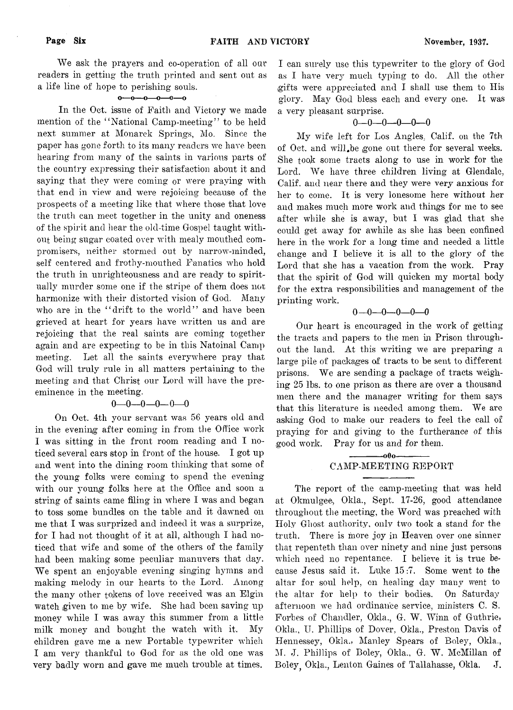We ask the prayers and co-operation of all oar readers in getting the truth printed and sent out as a life line of hope to perishing souls.

## $0 - 0 - 0 - 0 - 0 - 0$

In the Oct. issue of Faith and Victory we made mention of the "National Camp-meeting" to be held next summer at Monarck Springs, Mo. Since the paper has gone forth to its many readers we have been hearing from many of the saints in various parts of the country expressing their satisfaction about it and saying that they were coming or were praying with that end in view and were rejoicing because of the prospects of a meeting like that where those that love the truth can meet together in the unity and oneness of the spirit and hear the old-time Gospel taught without being sugar coated over with mealy mouthed compromisers, neither stormed out by narrow-minded, self centered and frothy-mouthed Fanatics who hold the truth in unrighteousness and are ready to spiritually murder some one if the stripe of them does not harmonize with their distorted vision of God. Many who are in the "drift to the world" and have been grieved at heart for years have written us and are rejoicing that the real saints are coming together again and are expecting to be in this Natoinal Camp meeting. Let all the saints everywhere pray that God will truly rule in all matters pertaining to the meeting and that Christ our Lord will have the preeminence in the meeting.

## $0 - 0 - 0 - 0 - 0$

On Oct. 4th your servant was 56 years old and in the evening after coming in from the Office work I was sitting in the front room reading and I noticed several cars stop in front of the house. I got up and went into the dining room thinking that some of the young folks were coming to spend the evening with our young folks here at the Office and soon a string of saints came filing in where I was and began to toss some bundles on the table and it dawned on me that I was surprized and indeed it was a surprize, for I had not thought of it at all, although I had noticed that wife and some of the others of the family had been making some peculiar manuvers that day. We spent an enjoyable evening singing hymns and making melody in our hearts to the Lord. Among the many other tokens of love received was an Elgin watch given to me by wife. She had been saving up money while I was away this summer from a little milk money and bought the watch with it. My children gave me a new Portable typewriter which I am very thankful to God for as the old one was very badly worn and gave me much trouble at times.

I can surely use this typewriter to the glory of God as I have very much typing to do. All the other gifts were appreciated and I shall use them to Ilis glory. May God bless each and every one. It was a very pleasant surprise.

## $0 - 0 - 0 - 0 - 0$

My wife left for Los Angles, Calif, on the 7th of Oct. and will.be gone out there for several weeks. She took some tracts along to use in work for the Lord. We have three children living at Glendale, Calif, and near there and they were very anxious for her to come. It is very lonesome here without her and makes much more work and things for me to see after while she is away, but I was glad that she could get away for awhile as she has been confined here in the work for a long time and needed a little change and I believe it is all to the glory of the Lord that she has a vacation from the work. Pray that the spirit of God will quicken my mortal body for the extra responsibilities and management of the printing work.

## $0 - 0 - 0 - 0 - 0$

Our heart is encouraged in the work of getting the tracts and papers to the men in Prison throughout the land. At this writing we are preparing a large pile of packages of tracts to be sent to different prisons. We are sending a package of tracts weighing 25 lbs. to one prison as there are over a thousand men there and the manager writing for them says that this literature is needed among them. We are asking God to make our readers to feel the call of praying for and giving to the furtherance of this good work. Pray for us and for them.

## $-000-$ CAMP-MEETING REPORT

The report of the camp-meeting that was held at Okmulgee, Okla., Sept. 17-26, good attendance throughout the meeting, the Word was preached with Holy Ghost authority, only two took a stand for the truth. There is more joy in Heaven over one sinner that repenteth than over ninety and nine just persons which need no repentance. I believe it is true because Jesus said it. Luke 15:7. Some went to the altar for soul help, on healing day many went to the altar for help to their bodies. On Saturday afternoon we had ordinance service, ministers C. S. Forbes of Chandler, Okla., G. W. Winn of Guthrie, Okla., U. Phillips of Dover, Okla., Preston Davis of Hennessey, Okla., Manley Spears of Boley, Okla., M. J. Phillips of Boley, Okla., G. W. McMillan of Boley Okla., Lenton Gaines of Tallahasse, Okla. J.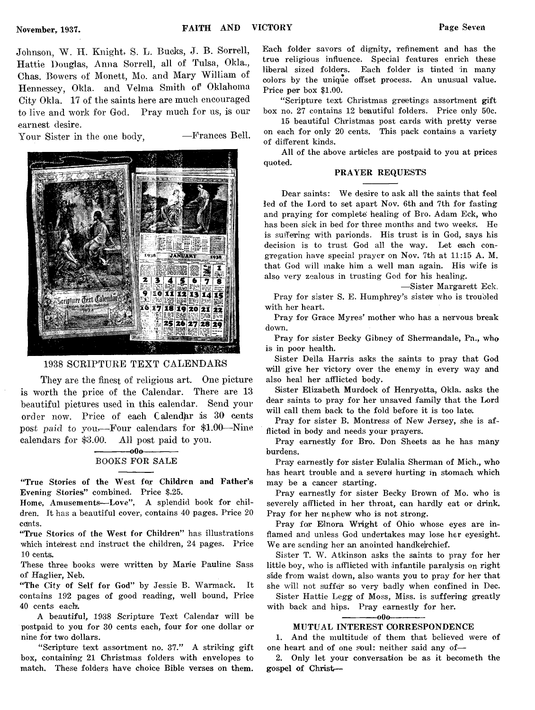Johnson, W. H. Knight, S. L. Bucks, J. B. Sorrell, Hattie Douglas, Anna Sorrell, all of Tulsa, Okla., Chas. Bowers of Monett, Mo. and Mary William of Hennessey, Okla. and Velma Smith of Oklahoma City Okla. 17 of the saints here are much encouraged to live and work for God. Pray much for us, is our earnest desire.

Your Sister in the one body, -Frances Bell.



## 1938 SCRIPTURE TEXT CALENDARS

They are the finest of religious art. One picture is worth the price of the Calendar. There are 13 beautiful pictures used in this calendar. Send your order now. Price of each Calendar is 30 cents post paid to you.— Four calendars for \$1.00—Nine calendars for \$3.00. All post paid to you.

## $-000-$ **BOOKS FOR SALE**

**"True Stories of the West for Children and Father's Evening Stories" combined. Price \$.25.**

**Home, Amusements— Love", A splendid book for children. It has a beautiful cover, contains 40 pages. Price 20 cejnts.**

**"True Stories of the West for Children" has illustrations which interest and instruct the children, 24 pages. Price 10 cents.**

**These three books were written by Marie Pauline Sass of Haglier, Neb.**

**"The City of Self for God" by Jessie B. Warmack. It contains 192 pages of good reading, well bound, Price 40 cents each.**

**A beautiful, 1938 Scripture Text Calendar will be postpaid to you for 30 cents each, four for one dollar or nine for two dollars.**

**"Scripture text assortment no. 37." A striking gift box, containing 21 Christmas folders with envelopes to match. These folders have choice Bible verses on them.**

**Each folder savors of dignity, refinement and has the true religious influence. Special features enrich these liberal sized folders. Each folder is tinted in many colors by the unique offset process. An unusual value. Price per box \$1.00.**

**" Scripture text Christmas greetings assortment gift box no. 27 contains 12 beautiful folders. Price only 50c.**

**15 beautiful Christmas post cards with pretty verse on each for only 20 cents. This pack contains a variety of different kinds.**

**All of the above articles are postpaid to you at prices quoted.**

## **PRAYER REQUESTS**

**Dear saints: We desire to ask all the saints that feel led of the Lord to set apart Nov. 6th and 7th for fasting and praying for complete healing of Bro. Adam Eck, who has been sick in bed for three months and two weeks. He is suffering with parionds. His trust is in God, says his decision is to trust God all the way. Let each congregation have special prayer on Nov. 7th at 11:15 A. M. that God will make him a well man again. His wife is also very zealous in trusting God for his healing.**

**—Sister Margarett Eck.** 

**Pray for sister S. E. Humphrey's sister who is troubled with her heart.**

**Pray for Grace Myres' mother who has a nervous break down.**

**Pray for sister Becky Gibney of Shermandale, Pa., who is in poor health.**

**Sister Delia Harris asks the saints to pray that God will give her victory over the enemy in every way and also heal her afflicted body.**

**Sister Elizabeth Murdock of Henryatta, Okla. asks the dear saints to pray for her unsaved family that the Lord will call them back to the fold before it is too lata.**

**Pray for sister B. Montress of New Jersey, she is afflicted in body and needs your prayers.**

**Pray earnestly for Bro. Don Sheets as he has many burdens.**

**Pray earnestly for sister Eulalia Sherman of Mich., who** has heart trouble and a severe hurting in stomach which **may be a cancer starting.**

**Pray earnestly for sister Becky Brown of Mo. who is severely afflicted in her throat, can hardly eat or drink. Pray for her nephew who is not strong.**

Pray for Elnora Wright of Ohio whose eyes are in**flamed and unless God undertakes may lose her eyesight. We are sending her an anointed handkerchief.**

**Sister T. W. Atkinson asks the saints to pray for her little boy, who is afflicted with infantile paralysis on right side from waist down, also wants you to pray for her that she will not suffer so very badly when confined in Dec.**

**Sister Hattie Legg of Moss, Miss, is suffering greatly with back and hips. Pray earnestly for her.**

#### -000-

## **MUTUAL INTEREST CORRESPONDENCE**

1. And the multitude of them that believed were of **one heart and of one soul: neither said any of—**

2. Only let your conversation be as it becometh the **gospel of Christ—\***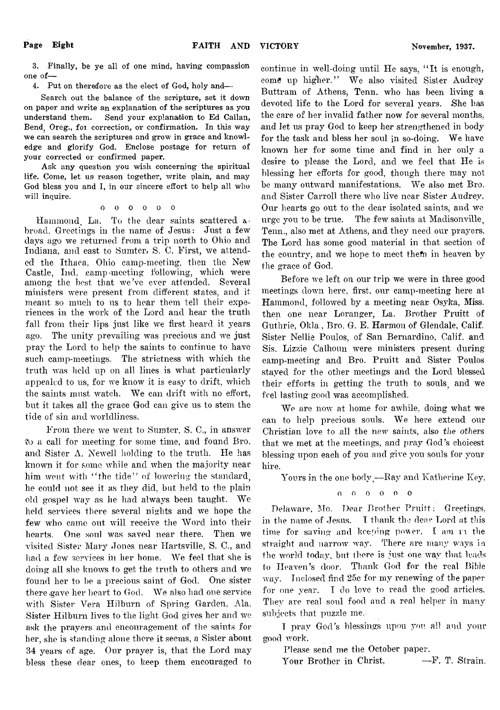**3. Finally, be ye all of one mind, having compassion one of—**

**4. Put on therefore as the elect of God, holy and—**

**Search out the balance of the scripture, set it down on paper and write an explanation of the scriptures as you understand them. Send your explanation to Ed Callan,** Bend, Oreg., for correction, or confirmation. In this way **we can search the scriptures and grow in grace and knowledge and glorify God. Enclose postage for return of your corrected or confirmed paper.**

**Ask any question you wish concerning the spiritual life. Come, let usi reason together, write plain, and may God bless you and I, in our sincere effort to help all who will inquire.**

## oooooo

Hammond La. To the dear saints scattered  $\alpha$ broad. Greetings in the name of Jesus: Just a few days ago we returned from a trip north to Ohio and Indiana, and east to Sumter, S. C. First, we attended the Ithaca, Ohio camp-meeting, then the New Castle, Ind. camp-meeting following, which were among the best that we've ever attended. Several ministers were present from different states, and it meant so much to us to hear them tell their experiences in the work of the Lord and hear the truth, fall from their lips just like we first heard it years ago. The unity prevailing was precious and we just pray the Lord to help the saints to continue to have such camp-meetings. The strictness with which the truth was held up on all lines is what particularly appealed to us, for we know it is easy to drift, which the saints must watch. We can drift with no effort, but it takes all the grace God can give us to stem the tide of sin and worldliness.

From there we went to Sumter, S. C., in answer to a call for meeting for some time, and found Bro. and Sister  $\Lambda$ . Newell holding to the truth. He has known it for some while and when the majority near him went with "the tide" of lowering the standard. he could not see it as they did, but held to the plainold gospel way as he had always been taught. We held services there several nights and we hope the few who came out will receive the Word into their hearts. One soul was saved near there. Then we visited Sister Mary Jones near Hartsville, S. C., and had a few services in her home. We feel that she is doing all she knows to get the truth to others and we found her to be a precious saint of God. One sister there gave her heart to God. We also had one service with Sister Vera Hilburn of Spring Garden, Ala. Sister Hilburn lives to the light God gives her and we ask the prayers and encouragement of the saints for her, she is standing alone there it seems, a Sister about 34 years of age. Our prayer is, that the Lord may bless these dear ones, to keep them encouraged to

continue in well-doing until He says, " It is enough, come up higher." We also visited Sister Audrey Buttram of Athens, Tenn. who has been living a devoted life to the Lord for several years. She has the care of her invalid father now for several months, and let us pray God to keep her strengthened in body for the task and bless her soul in so-doing. We have known her for some time and find in her only a desire to please the Lord, and we feel that He is blessing her efforts for good, though there may not be many outward manifestations. We also met Bro. and Sister Carroll there who live near Sister Audrey. Our hearts go out to the dear isolated saints, and we urge you to be true. The few saints at Madisonville, Tenn., also met at Athens, and they need our prayers. The Lord has some good material in that section of the country, and we hope to meet thefn in heaven by the grace of God.

Before we left on our trip we were in three good meetings down here, first, our camp-meeting here at Hammond, followed by a meeting near Osvka, Miss, then one near Loranger, La. Brother Pruitt of Guthrie, Okla,, Bro. G. E. Harmon of Glendale, Calif. Sister Nellie Poulos, of San Bernardino, Calif, and Sis. Lizzie Calhoun were ministers present during camp-meeting and Bro. Pruitt and Sister Poulos stayed for the other meetings and the Lord blessed their efforts in getting the truth to souls, and we feel lasting good was accomplished.

We are now at home for awhile, doing what we can to help precious souls. We here extend our Christian love to all the new saints, also *the others* that we met at the meetings, and pray God's choicest blessing upon each of you and give you souls for your hire.

Yours in the one body,  $-Ray$  and Katherine Key.

## o o o o o o

Delaware, Mo. Dear Brother Pruitt: Greetings, in the name of Jesus. I thank the dear Lord at this time for saving and keeping power. I am in the straight and narrow way. There are many ways in the world today, but there is just one way that leads to Heaven's door. Thank God for the real Bible way. Inclosed find 25c for my renewing of the paper for one year. I do love to read the good articles. They are real soul food and a real helper in many subjects that puzzle me,

I pray God's blessings upon you all and your good work.

Please send me the October paper.

Your Brother in Christ. - F. T. Strain.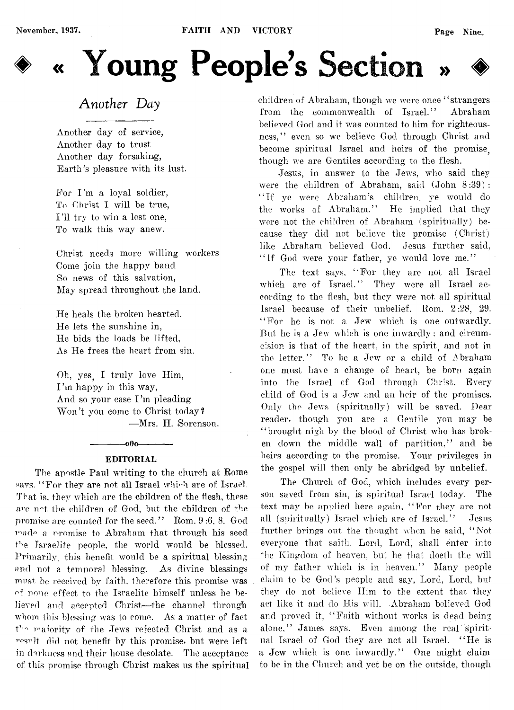# **« Young People's** Section » ♦

## *Another Day*

Another day of service, Another day to trust Another day forsaking, Earth's pleasure with its lust.

For I'm a loyal soldier, To Christ I will be true, I 'll try to win a lost one, To walk this way anew.

Christ needs more willing workers Come join the happy band So news of this salvation, May spread throughout the land.

He heals the broken hearted, He lets the sunshine in, He bids the loads be lifted, As He frees the heart from sin.

Oh, yes. I truly love Him, I'm happy in this way, And so your case I'm pleading Won't you come to Christ today? — Mrs. H. Sorenson.

## $-000-$ **EDITORIAL**

The apostle Paul writing to the church at Rome savs. "For they are not all Israel which are of Israel. That is, they which are the children of the flesh, these are not the children of God, but the children of the promise are counted for the seed." Rom. 9 :6. 8. God made a promise to Abraham that through his seed the Israelite people, the world would be blessed. Primarily this benefit would be a spiritual blessing and not a temporal blessing. As divine blessings must be received by faith, therefore this promise was of none effect to the Israelite himself unless he believed and accepted Christ— the channel through whom this blessing was to come. As a matter of fact the maiority of the Jews rejected Christ and as a result. did not benefit by this promise, but were left in darkness and their house desolate. The acceptance of this promise through Christ makes us the spiritual children of Abraham, though we were once " strangers from the commonwealth of Israel." Abraham believed God and it was counted to him for righteousness," even so we believe God through Christ and become spiritual Israel and heirs of the promise. though we are Gentiles according to the flesh.

Jesus, in answer to the Jews, who said they were the children of Abraham, said (John 8:39): " If ye were Abraham's children, ye would do the works of Abraham." He implied that they were not the children of Abraham (spiritually) because they did not believe the promise (Christ) like Abraham believed God. Jesus further said, "If God were your father, ye would love me."

The text says, "For they are not all Israel which are of Israel." They were all Israel according to the flesh, but they were not all spiritual Israel because of their unbelief. Rom. 2 :28, 29. " For he is not a Jew which is one outwardly. But he is a Jew which is one inwardly: and circumcision is that of the heart, in the spirit, and not in the letter." To be a Jew or a child of Abraham one must have a change of heart, be born again into the Israel cf God through Christ. Every child of God is a Jew and an heir of the promises. Only the Jews (spiritually) will be saved. Dear reader, though you are a Gentile you may be " brought nigh by the blood of Christ who has broken down the middle wall of partition," and be heirs according to the promise. Your privileges in the gospel will then only be abridged by unbelief.

The Church of God, which includes every person saved from sin, is spiritual Israel today. The text may be applied here again, "For they are not all (spiritually) Israel which are of Israel." Jesus further brings out the thought when he said, "Not everyone that saith, Lord, Lord, shall enter into the Kingdom of heaven, but he that doeth the will of my father which is in heaven." Many people claim to be God's people and say, Lord, Lord, but they do not believe Him to the extent that they act like it and do His will. Abraham believed God and proved it, "Faith without works is dead being alone," James says. Even among the real spiritual Israel of God they are not all Israel. " He is a Jew which is one inwardly." One might claim to be in the Church and yet be on the outside, though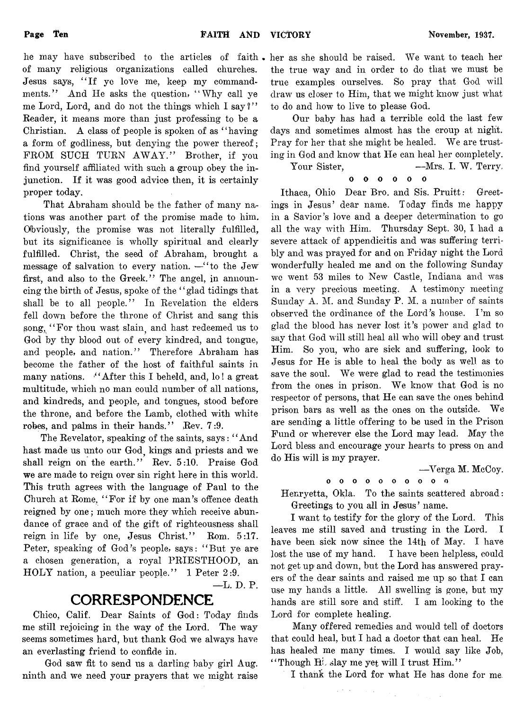of many religious organizations called churches. Jesus says, "If ye love me, keep my commandments." And He asks the question, "Why call ye me Lord, Lord, and do not the things which I say  $i'$ Reader, it means more than just professing to be a Christian. A class of people is spoken of as " having a form of godliness, but denying the power thereof; FROM SUCH TURN AWAY." Brother, if you find yourself affiliated with such a group obey the injunction. If it was good advice then, it is certainly proper today.

That Abraham should be the father of many nations was another part of the promise made to him. Obviously, the promise was not literally fulfilled, but its significance is wholly spiritual and clearly fulfilled. Christ, the seed of Abraham, brought a message of salvation to every nation.  $-$ " to the Jew first, and also to the Greek." The angel, in announcing the birth of Jesus, spoke of the ' ' glad tidings that shall be to all people." In Revelation the elders fell down before the throne of Christ and sang this song, "For thou wast slain, and hast redeemed us to God by thy blood out of every kindred, and tongue, and people, and nation." Therefore Abraham has become the father of the host of faithful saints in many nations. "After this I beheld, and, lo! a great multitude, which no man could number of all nations, and kindreds, and people, and tongues, stood before the throne, and before the Lamb, clothed with white robes, and palms in their hands." Rev. 7:9.

The Revelator, speaking of the saints, says: " And hast made us unto our God, kings and priests and we shall reign on the earth." Rev. 5:10. Praise God we are made to reign over sin right here in this world. This truth agrees with the language of Paul to the Church at Rome, " For if by one man's offence death reigned by one; much more they which receive abum dance of grace and of the gift of righteousness shall reign in life by one, Jesus Christ." Rom. 5:17. Peter, speaking of God's people, says: " But ye are a chosen generation, a royal PRIESTHOOD, an HOLY nation, a peculiar people." 1 Peter 2:9.

— L. D. P.

## **CORRESPONDENCE**

Chico, Calif. Dear Saints of God: Today finds me still rejoicing in the way of the Lord. The way seems sometimes hard, but thank God we always have an everlasting friend to confide in.

God saw fit to send us a darling baby girl Aug. ninth and we need your prayers that we might raise

he may have subscribed to the articles of faith her as she should be raised. We want to teach her the true way and in order to do that we must be true examples ourselves. So pray that God will draw us closer to Him, that we might know just what to do and how to live to please God.

> Our baby has had a terrible cold the last few days and sometimes almost has the croup at night. Pray for her that she might be healed. We are trusting in God and know that He can heal her completely.

Your Sister,  $-Mrs.$  I. W. Terry,

## 0 0 0 0 0 0

Ithaca, Ohio Dear Bro. and Sis. Pruitt: Greetings in Jesus' dear name. Today finds me happy in a Savior's iove and a deeper determination to go all the way with Him. Thursday Sept. BO, I had a severe attack of appendicitis and was suffering terribly and was prayed for and on Friday night the Lord wonderfully healed me and on the following Sunday we went 53 miles to New Castle, Indiana and was in a very precious meeting. A testimony meeting Sunday A. M. and Sunday P. M. a number of saints observed the ordinance of the Lord's house. I'm so glad the blood has never lost it's power and glad to say that God will still heal all who will obey and trust Him. So you, who are sick and suffering, look to Jesus for He is able to heal the body as well as to save the soul. We were glad to read the testimonies from the ones in prison. We know that God is no respector of persons, that He can save the ones behind prison bars as well as the ones on the outside. We are sending a little offering to be used in the Prison Fund or wherever else the Lord may lead. May the Lord bless and encourage your hearts to press on and do His will is my prayer.

—Verga M. McCoy,

oooooooooo

Henryetta, Okla. To the saints scattered abroad: Greetings to you all in Jesus' name.

I want to testify for the glory of the Lord. This leaves me still saved and trusting in the Lord. I have been sick now since the 14th of May. I have lost the use of my hand. I have been helpless, could not get up and down, but the Lord has answered prayers of the dear saints and raised me up so that I can use my hands a little. All swelling is gone, but my hands are still sore and stiff. I am looking to the Lord for complete healing.

Many offered remedies and would tell of doctors that could heal, but I had a doctor that can heal. He has healed me many times. I would say like Job, " Though  $H^i$ , slay me yet will I trust  $\text{Him}$ ."

I thank the Lord for what He has done for me.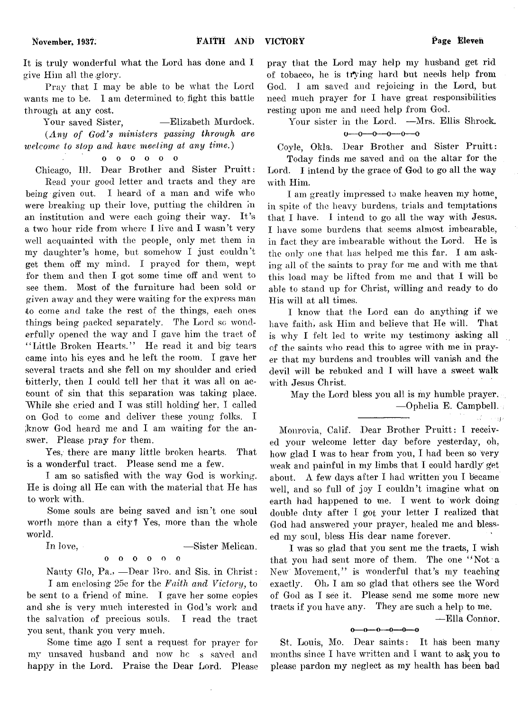**November, 1937.**

It is truly wonderful what the Lord has done and I give Him all the glory.

Pray that I may be able to be what the Lord wants me to be. I am determined to fight this battle through at any cost.

Your saved Sister, — Elizabeth Murdock. *(Any of God's ministers passing through are welcome to stop and have meeting at any time.)*

oooooo

Chicago, 111. Dear Brother and Sister Pruitt:

Bead your good letter and tracts and they are being given out. I heard of a man and wife who were breaking up their love, putting the children in an institution and were each going their way. It's a two hour ride from where I live and I wasn't very well acquainted with the people only met them in my daughter's home, but somehow I just couldn't get them off my mind. I prayed for them, wept for them and then I got some time off and went to see them. Most of the furniture had been sold or given away and they were waiting for the express mar to come and take the rest of the things, each ones things being packed separately. The Lord so wonderfully opened the way and I gave him the tract of "Little Broken Hearts." He read it and big tears came into his eyes and he left the room. I gave her several tracts and she fell on my shoulder and cried bitterly, then I could tell her that it was all on account of sin that this separation was taking place. While she cried and  $I$  was still holding her,  $I$  called on God to come and deliver these young folks. I iknow God heard me and I am waiting for the answer. Please pray for them.

Yes, there are many little broken hearts. That is a wonderful tract. Please send me a few.

I am so satisfied with the way God is working. He is doing all He can with the material that He has to work with.

Some souls are being saved and isn't one soul worth more than a city? Yes, more than the whole world.

In love, — Sister Melican.

oooooo

Nauty Glo, Pa., — Dear Bro. and Sis. in Christ:

I am enclosing 25c for the *Faith and Victory,* to be sent to a friend of mine. I gave her some copies and she is very much interested in God's work and the salvation of precious souls. I read the tract you sent, thank you very much.

Some time ago I sent a request for prayer for my unsaved husband and now he s saved and happy in the Lord. Praise the Dear Lord. Please pray that the Lord may help my husband get rid of tobacco, he is trying hard but needs help from God. I am saved and rejoicing in the Lord, but need much prayer for I have great responsibilities resting upon me and need help from God.

Your sister in the Lord. —Mrs. Ellis Shrock.  $0 \rightarrow 0 \rightarrow 0 \rightarrow 0 \rightarrow 0$ 

Coyle, Okla. Dear Brother and Sister Pruitt:

Today finds me saved and on the altar for the Lord. I intend by the grace of God to go all the way with Him.

I am greatly impressed to make heaven my home in spite of the heavy burdens, trials and temptations that I have. I intend to go all the way with Jesus. I have some burdens that seems almost imbearable, in fact they are imbearable without the Lord. He is the only one that has helped me this far. I am asking all of the saints to pray for me and with me that this load may be lifted from me and that I will be able to stand up for Christ, willing and ready to do His will at all times.

I know that the Lord can do anything if we have faith, ask Him and believe that He will. That is why I felt led to write my testimony asking all of the saints who read this to agree with me in prayer that my burdens and troubles will vanish and the devil will be rebuked and I will have a sweet walk with Jesus Christ.

May the Lord bless you all is my humble prayer, — Ophelia E. Campbell.

Monrovia, Calif. Dear Brother Pruitt: I received your welcome letter day before yesterday, oh, how glad 1 was to hear from you, I had been so very weak and painful in my limbs that I could hardly get about.  $\Lambda$  few days after I had written you I became well, and so full of joy I couldn't imagine what on earth had happened to me. I went to work doing double duty after I got your letter I realized that God had answered your prayer, healed me and blessed my soul, bless His dear name forever.

I was so glad that you sent me the tracts, I wish that you had sent more of them. The one "Not a New Movement," is wonderful that's my teaching exactly. Oh, I am so glad that others see the Word of God as I see it. Please send me some more new tracts if you have any. They are such a help to me.

— Ella Connor.

 $1.140$ 

 $0 - 0 - 0 - 0 - 0 - 0$ 

St. Louis, Mo. Dear saints: It has been many months since I have written and I want to ask you to please pardon my neglect as my health has been bad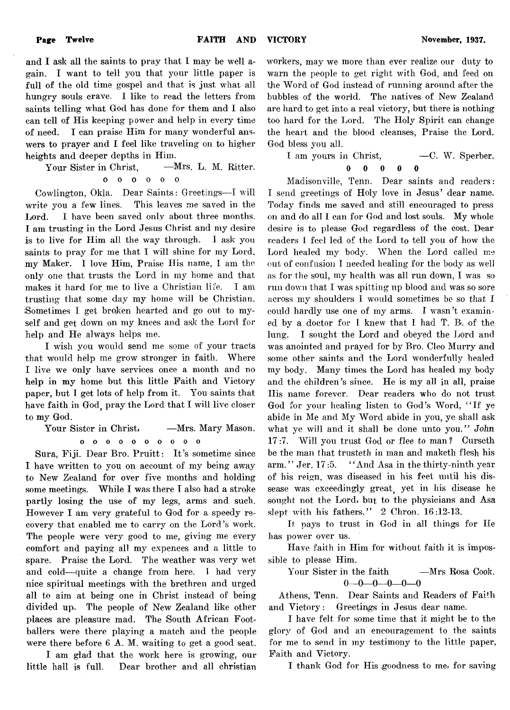and I ask all the saints to pray that I may be well again. I want to tell yon that your little paper is full of the old time gospel and that is just what all hungry souls crave. I like to read the letters from saints telling what God has done for them and I also can tell of His keeping power and help in every time of need. I can praise Him for many wonderful answers to prayer and I feel like traveling on to higher heights and deeper depths in Him.

Your Sister in Christ, - - Mrs. L. M. Ritter. oooooo  $\Omega$ 

Cowlington, Okla. Dear Saints: Greetings— I will write you a few lines. This leaves me saved in the Lord. I have been saved only about three months. I am trusting in the Lord Jesus Christ and my desire is to live for Him all the way through. I ask you saints to pray for me that I will shine for my Lord, my Maker. I love Him, Praise His name, I am the only one that trusts the Lord in my home and that makes it hard for me to live a Christian life. I am trusting that some day my home will be Christian. Sometimes I get broken hearted and go out to myself and get down on my knees and ask the Lord for help and He always helps me.

I wish you would send me some of your tracts that would help me grow stronger in faith. Where I live we only have services once a month and no help in my home but this little Faith and Victory paper, but I get lots of help from it. You saints that have faith in God, pray the Lord that I will live closer to my God.

Your Sister in Christ, —Mrs. Mary Mason.

**oooooooooo** Sura, Fiji. Dear Bro. Pruitt: It's sometime since I have written to you on account of my being away to New Zealand for over five months and holding some meetings. While I was there I also had a stroke partly losing the use of my legs, arms and such. However I am very grateful to God for a speedy recovery that enabled me to carry on the Lord's work. The people were very good to me, giving me every comfort and paying all my expences and a little to spare. Praise the Lord. The weather was very wet and cold— quite a change from here. T had very nice spiritual meetings with the brethren and urged all to aim at being one in Christ instead of being

divided up. The people of New Zealand like other places are pleasure mad. The South African Footballers were there playing a match and the people were there before 6 A. M. waiting to get a good seat. I am glad that the work here is growing, our

little hall is full. Dear brother and all christian

workers, may we more than ever realize our duty to warn the people to get right with God, and feed on the Word of God instead of running around after the bubbles of the world. The natives of New Zealand are hard to get into a real victory, but there is nothing too hard for the Lord. The Holy Spirit can change the heart and the blood cleanses, Praise the Lord. God bless you all.

I am yours in Christ. — C. W. Sperber.

$$
0\qquad 0\qquad 0\qquad 0
$$

Madisonville, Tenn. Dear saints and readers: I send greetings of Holy love in Jesus' dear name. Today finds me saved and still encouraged to press on and do all I can for God and lost souls. My whole desire is to please God regardless of the cost. Dear readers I feel led of the Lord to tell you of how the Lord healed my body. When the Lord called me out of confusion I needed healing for the body as well as for the soul, my health was all run down, I was so run down that I was spitting up blood and was so sore across my shoulders I would sometimes be so that I could hardly use one of my arms. I wasn't examined by a doctor for I knew that I had T. B. of the lung. I sought the Lord and obeyed the Lord and was anointed and prayed for by Bro. Cleo Murry and some other saints and the Lord wonderfully healed my body. Many times the Lord has healed my body and the children's since. He is my all in all, praise Ilis name forever. Dear readers who do not trust God for your healing listen to God's Word, " If ye abide in Me and My Word abide in you, ye shall ask what ye will and it shall be done unto you." *John* 17:7. W ill you trust God or flee *to* man *f* Curseth be the man that trusteth in man and maketh flesh his arm. " Jer. 17 :5. " And Asa in the thirty-ninth year of his reign, was diseased in his feet until his dissease was exceedingly great yet in his disease he sought not the Lord, but to the physicians and Asa slept with his fathers." 2 Chron. 16:12-13.

It pays to trust in God in all things for He has power over us.

Have faith in Him for without faith it is impossible to please Him.

Your Sister in the faith - Mrs Rosa Cook.  $0-0-0-0-0$ 

Athens, Tenn. Dear Saints and Readers of Faith and Victory: Greetings in Jesus dear name.

I have felt for some time that it might be to the glory of God and an encouragement to the saints for me to send in my testimony to the little paper, Faith and Victory.

I thank God for His goodness to me, for saving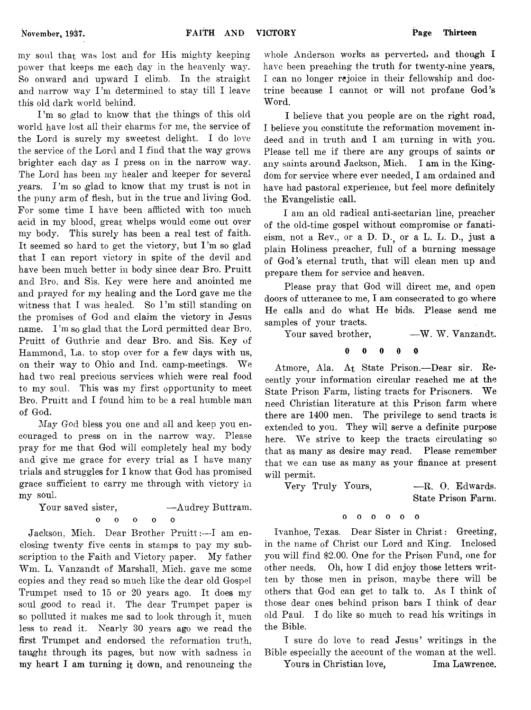my soul that was lost and for His mighty keeping power that keeps me each day in the heavenly way. So onward and upward I climb. In the straight and narrow way I'm determined to stay till I leave this old dark world behind.

I'm so glad to know that the things of this old world have lost all their charms for me, the service of the Lord is surely my sweetest delight. I do love the service of the Lord and I find that the way grows brighter each day as I press on in the narrow way. The Lord has been my healer and keeper for several years. I'm so glad to know that my trust is not in the puny arm of flesh, but in the true and living God. For some time I have been afflicted with too much acid in my blood, great whelps would come out over my body. This surely has been a real test of faith. It seemed so hard to get the victory, but  $\Gamma'$ m so glad that I can report victory in spite of the devil and have been much better in body since dear Bro. Pruitt and Bro. and Sis. Key were here and anointed me and prayed for my healing and the Lord gave me the witness that I was healed. So I'm still standing on the promises of God and claim the victory in Jesus name. I'm so glad that the Lord permitted dear Bro. Pruitt of Guthrie and dear Bro. and Sis. Key of Hammond, La. to stop over for a few days with us, on their way to Ohio and Ind. camp-meetings. We had two real precious services which were real food to my soul. This was my first opportunity to meet Bro. Pruitt and I found him to be a real humble man of God.

*May God* bless you one and all and keep you encouraged to press on in the narrow way. Please pray for me that God will completely heal my body and give me grace for every trial as I have many trials and struggles for I know that God has promised grace sufficient to carry me through with victory in my soul.

Your saved sister,  $-\text{Audrey Butter}$ . ooooo  $\Omega$ 

Jackson, Mich. Dear Brother Pruitt:— I am enclosing twenty five cents in stamps to pay my subscription to the Faith and Victory paper. My father Wm. L. Vanzandt of Marshall, Mich, gave me some copies and they read so much like the dear old Gospel Trumpet used to 15 or 20 years ago. It does my soul good to read it. The dear Trumpet paper is so polluted it makes me sad to look through it much less to read it. Nearly 30 years ago we read the first Trumpet and endorsed the reformation truth, taught through its pages, but now with sadness in my heart I am turning it down, and renouncing the

whole Anderson works as perverted, and though I have been preaching the truth for twenty-nine years, I can no longer rejoice in their fellowship and doctrine because I cannot or will not profane God's Word.

I believe that you people are on the right road, I believe you constitute the reformation movement indeed and in truth and I am turning in with you. Please tell me if there are any groups of saints or any saints around Jackson, Mich. I am in the Kingdom for service where ever needed, I am ordained and have had pastoral experience, but feel more definitely the Evangelistic call.

I am an old radical anti-sectarian line, preacher of the old-time gospel without compromise or fanaticism, not a Rev., or a D. D., or a L. L. D., just a plain Holiness preacher, full of a burning message of God's eternal truth, that will clean men up and prepare them for service and heaven.

Please pray that God will direct me, and open doors of utterance to me, I am consecrated to go where He calls and do what He bids. Please send me samples of your tracts.

Your saved brother, - - W. W. Vanzandt.

ooooo  $\theta$ 

Atmore, Ala. At State Prison.— Dear sir. Recently your information circular reached me at the State Prison Farm, listing tracts for Prisoners. We need Christian literature at this Prison farm where there are 1400 men. The privilege to send tracts is extended to you. They will serve a definite purpose here. We strive to keep the tracts circulating so that as many as desire may read. Please remember that we can use as many as your finance at present will permit.

Very Truly Yours, — R. 0. Edwards.

State Prison Farm.

## oooooo

Ivanhoe, Texas. Dear Sister in Christ: Greeting, in the name of Christ our Lord and King. Inclosed you will find \$2.00. One for the Prison Fund, one for other needs. Oh, how I did enjoy those letters written by those men in prison, maybe there will be others that God can get to talk to. As I think of those dear ones behind prison bars I think of dear old Paul. I do like so much to read his writings in the Bible.

I sure do love to read Jesus' writings in the Bible especially the account of the woman at the well.

Yours in Christian love, Ima Lawrence.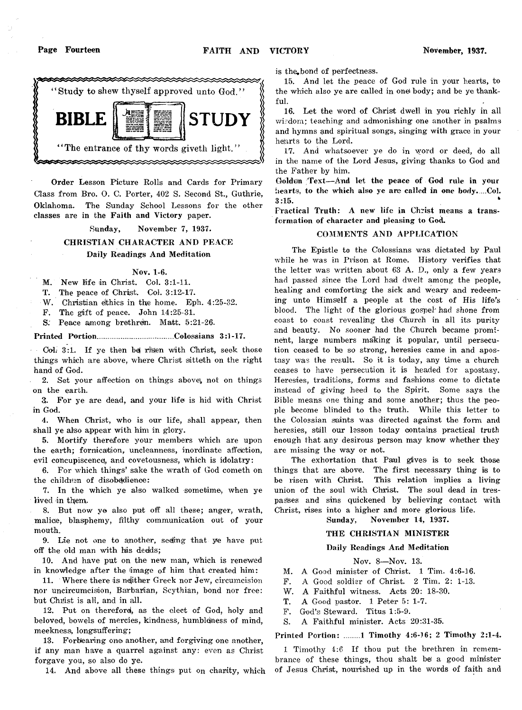

**Order Lesson Picture Rolls and Cards for Primary Class from Bro. 0. C. Porter, 402 S. Second St., Guthrie, Oklahoma. The Sunday School Lessons for the other classes are in the Faith and Victory paper.**

#### **Sunday, November 7, 1937.**

## **CHRISTIAN CHARACTER AND PEACE Daily Readings And Meditation**

#### **Nov. 1-6.**

**M. New life in Christ. Col. 3:1-11.**

**T. The peace of Christ. Col. 3:12-17.**

W. Christian ethics in the home. Eph. 4:25-32.

**F. The gift of peace. John 14:25-31.**

**S: Peace among brethren. Matt. 5:21-26.**

### **Printed Portion.......................... ............Colossians 3:1-17.**

Col. 3:1. If ye then be risen with Christ, seek those **things which are above, where Christ siitteth on the right hand of God.**

**2. Set your affection on things above), not on things on the earth.**

**3. For ye are dead, and your life is hid with Christ in God.**

**4. When Christ, who is our life, shall appear, then shall ye also appear with him in glory.**

**5. Mortify therefore your members which are upon** the earth; fornication, uncleanness, inordinate affection, **evil concupiscence), and covetousness, which is idolatry:**

**6. For which things' sake the wrath of God cometh on the children of disobedience:**

**7. In the which ye also walked sometime, when ye** lived in them.

**8. But now ye also put off all these; anger, wrath, malice, blasphemy, filthy communication out of your mouth.**

**9. Lie not one to another, seeling that ye have put off the old man with hiis dedds;**

**10. And have put on the new man, which is renewed in knowledge after the image of him that created him:**

**11. Where there is; neither Greek nor Jew, circumcision nor uncircumcisiion, Barbarian, Scythian, bond nor free:** but Chitist is all, and in all.

**12. Put on therefore!, as the elect of God, holy and beloved, bowels of mercies, kindness, humbleness of mind, meekness, longsuffering;**

**13. Forbearing one another, and forgiving one another, if any man have a quarrel against any: even as Christ forgave you, so also do ye.**

**14. And above all these things put on charity, which**

**is the,bond of perfectness.**

**15. And let the peace of God rule in your hearts, to the which also ye are called in one body; and be ye thankful.**

**16. Let the word of Christ dwell in you richly in all wisdom; teaching and admonishing one another in psalms and hymns and spiritual songs, singing with grace in your hejarts to the Lord.**

**17. And whatsoever ye do in word or deed, do all in the name of the Lord Jesus, giving thanks to God and the Father by him.**

**Golden Text— And let the peace of God rule in your hearts, to the which also ye are called in one body.....Col. 3:15. \***

**Practical Truth: A new life in Christ means a transformation of character and pleasing to God.**

## **COMMENTS AND APPLICATION**

**The Epistle to the Colossians was dictated by Paul while he was in Prison at Rome. History verifies that the letter was written about 63 A. D., only a few years had passed since the Lord had dwelt among the people, healing and comforting the sick and weary and redeeming unto Himself a people at the cost of His life's blood. The light of the glorious gospel' had shone from coast to coast revealing the) Church in all its: purity and beauty. No sooner had the Church became prominent, large numbers making it popular, until persecution ceased to be so strong, heresies came in and apostasy was the result. So it is today, any time a church ceases to have persecution it is headed for apostasy. Heresies, traditions, forms and fashions come to dictate instead of giving heed to the Spirit. Some says the Bible means one thing and some another; thus the people become blinded to the truth. While this letter to the Colossian saints was directed against the form and heresies, still our lesson today contains practical** *truth* **enough that any desirous person may know whether they are missing the way or not.**

**The exhortation that Paul gives is to seek those thing's that are above. The first necessary thing is to be risen with Christ. This relation implies a living union of the soul with Christ. The soul dead in trespasses and sins quickened by believing contact with Christ, rises into a higher and more glorious life.**

**Sunday, November 14, 1937.**

## **THE CHRISTIAN MINISTER**

#### **Daily Readings And Meditation**

**Nov. 8— Nov. 13.**

**M. A Good minister of Christ. 1 Tim. 4:6-16.**

**F. A Good soldier of Christ. 2 Tim. 2: 1-13.**

- **W. A Faithful witness. Acts 20: 18-30.**
- **T. A Good pastor. 1 Peter 5: 1-7.**
- **F. God's Steward. Titus 1:5-9.**

**S. A Faithful minister. Acts 20:31-35.**

## **Printed Portion: .... ...1 Timothy 4:6-16; 2 Timothy 2:1-4.**

**1 Timothy 4:6 If thou put the brethren in remembrance of these things, thou shalt be) a good minister of Jesus Christ, nourished up in the words of faith and**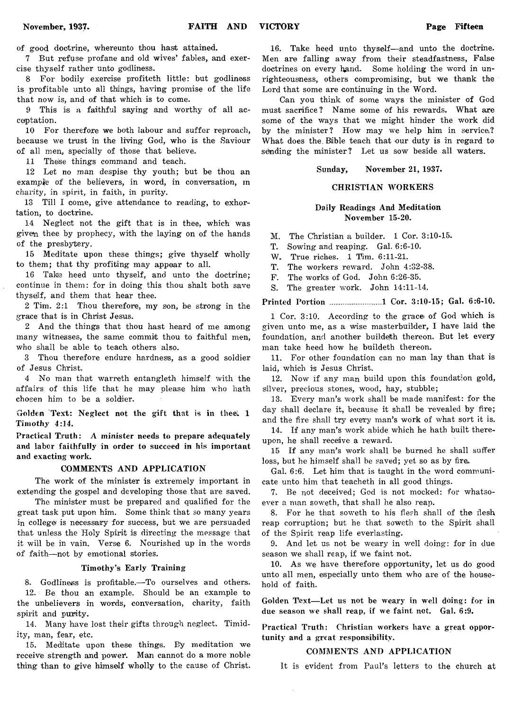**of good doctrine, whereunto thou hast attained.**

**7 But refuse profane and old wives' fables, and exercise thyself rather unto godliness.**

**8 For bodily exercise profiteth little: but godliness is profitable unto all things, having promise of the life that now is, and of that which is to come.**

**9 This is a faithful saying and worthy of all acceptation.**

**10 For therefore we both labour and suffer reproach, because we trust in the living God, who is the Saviour of all men, specially of those that believe.**

11 These things command and teach.

**12 Let no man despise thy youth; but be thou an example of the believers, in word, in conversation, m charity, in spirit, in faith, in purity.**

**18 Till I come, give attendance to reading, to exhortation, to doctrine.**

**14 Neglect not the gift that is in thee, which was given thee by prophecy, with the laying on of the hands of the presbytery.**

**15 Meditate upon these things; give thyself wholly to them; that thy profiting may appear to all.**

**16 Take heed unto thyself, and unto the doctrine; continue in them: for in doing this thou shalt both save thysejlf, and them that hear thee.**

**2 Tim. 2:1 Thou therefore, my son, be strong in the grace that is in Christ Jesus.**

**2 And the things that thou hast heard of me among many witnesses, the same commit thou to faithful men, who shall be able to teach others also.**

**3 Thou therefore endure hardness, as a good soldier of Jesus Christ.**

**4 No man that warreth entangleth himself with the affairs of this life that he may please him who hath chosen him to be a soldier.**

Golden Text: Neglect not the gift that is in thee. 1 *Timothy* **4:14.**

**Practical Truth: A minister needs to prepare adequately and labor faithfully in order to succeed in his important and exacting work.**

#### **COMMENTS AND APPLICATION**

**The work of the minister is extremely important in extending the gospel and developing those that are saved.**

**The minister must be prepared and qualified for the great task put upon him. Some think that so many years in college^ is necessary for success, but we are persuaded that unless the Holy Spirit is directing the message that it will be in vain. Verse 6. Nourished up in the words of faith— not by emotional stories.**

## **Timothy's Early Training**

**8. Godliness is profitable.— To ourselves and others. 12. Be thou an example. Should be an example to the unbelievers in words, conversation, charity, faith spirit and purity.**

**14. Many have lost their gifts through neglect. Timidity, man, fear, etc.**

**15. Meditate upon these things. By meditation we receive strength and power. Man cannot do a more noble thing than to give himself wholly to the cause of Christ.**

**16. Take heed unto thyself— and unto the doctrine. Men are falling away from their steadfastness, False doctrines on every hand. Some holding the word in unrighteousness, others compromising, but we thank the Lord that some are continuing in the Word.**

**Can you think of some ways the minister of God must sacrifice? Name some of his rewards. What are some of the ways that we might hinder the work did by the minister ? How may we help him in servicei? What does the. Bible teach that our duty is in regard to sending the minister? Let us sow beside all waters.**

**Sunday, November 21, 1937.**

### **CHRISTIAN WORKERS**

## **Daily Readings And Meditation November 15-20.**

**M. The Christian a builder. 1 Cor. 3:10-15.**

- **T. Sowing and reaping. Gal. 6:6-10.**
- **W. True riches. 1 Tim. 6:11-21.**
- **T. The workers reward. John 4:32-38.**

**F. The works of God. John 6:26-35.**

**S. The greater work. John 14:11-14.**

**Printed Portion ......................... 1 Cor. 3:10-15; Gal. 6:6-10.**

**1 Cor. 3:10. According to the gracei of God which, is given unto me, as a wise masterbuilder, I have laid the foundation, and another buildejth thereon. But let every man take heed how he buildeth thereon,**

**11. For other foundation can no man lay than that is laid, which is Jesus Christ.**

**12. Now if any man build upon this foundation gold, silver, precious stones, wood, hay, stubble;**

**13. Every man's work shall be made manifest: for the day shall declare it, because it shall be revealed by fire; and the fire shall try every man's work of what sort it is.**

**14. If any man's work abide which he hath built thereupon, he shall receive a reward.**

**15 If any man's work shall be burned he shall suffer loss, but he himself shall be saved; yet so as by fire.**

**Gal. 6:6. Let him that is taught in the word communicate unto him that teacheth in all good things.**

**7. Be not deceived; God is not mocked: for whatsoever a man soweth, that shall he also reap.**

**8. For he that soweth to his flesh shall of the flesh reap corruption; but he that soweth to the Spirit shall of the Spirit reap life everlasting.**

**9. And let us not be weary in well doing: for in due season we shall reap, if we faint not.**

**10. As we have therefore opportunity, let us do good unto all men, especially unto them who are of the household of faith.**

Golden Text-Let us not be weary in well doing: for in **due season we shall reap, if we faint not. Gal. 6:9.**

**Practical Truth: Christian workers have a great opportunity and a great responsibility.**

## **COMMENTS AND APPLICATION**

**It is evident from Paul's letters to the church at**